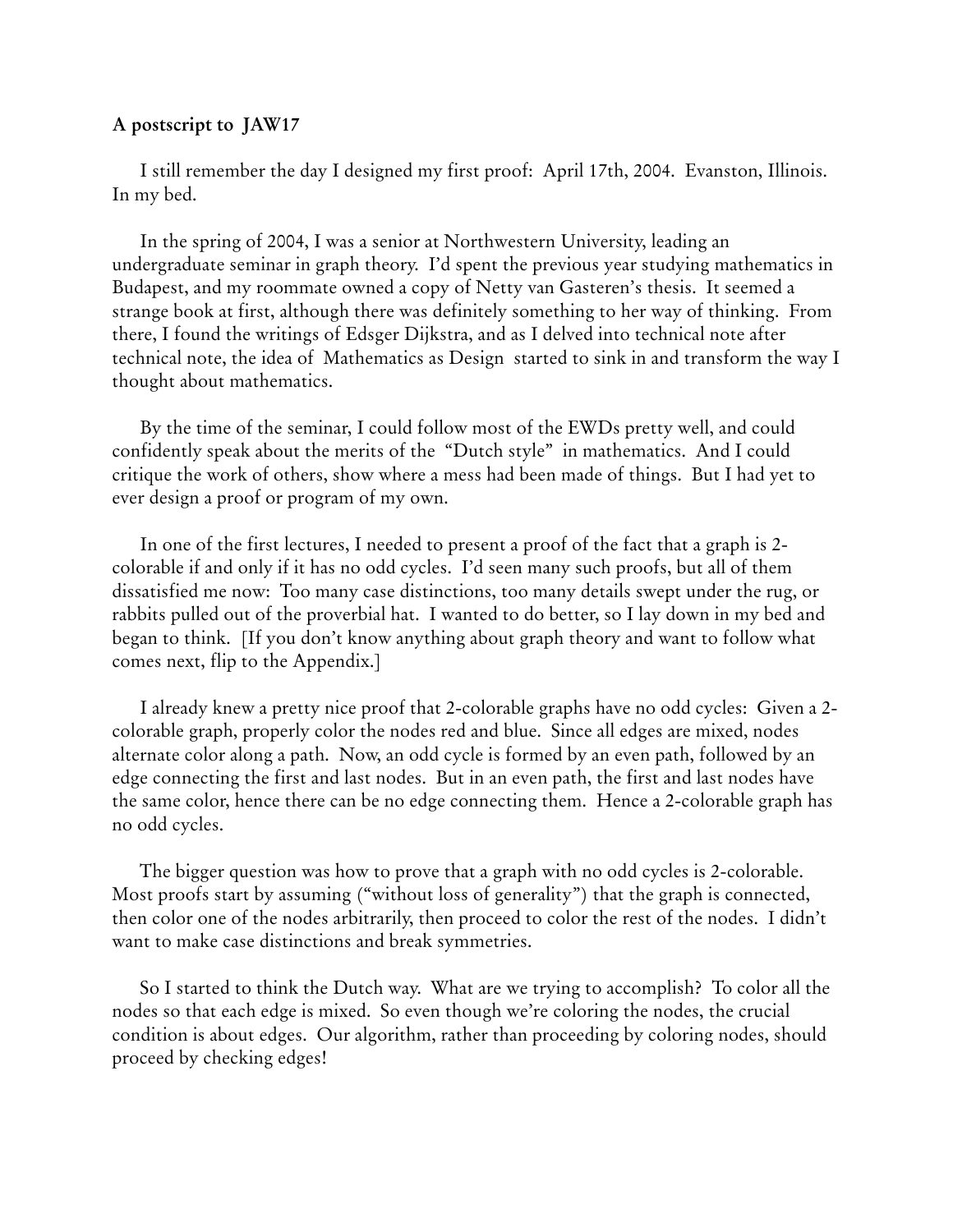## **A postscript to JAW17**

 I still remember the day I designed my first proof: April 17th, 2004. Evanston, Illinois. In my bed.

 In the spring of 2004, I was a senior at Northwestern University, leading an undergraduate seminar in graph theory. I'd spent the previous year studying mathematics in Budapest, and my roommate owned a copy of Netty van Gasteren's thesis. It seemed a strange book at first, although there was definitely something to her way of thinking. From there, I found the writings of Edsger Dijkstra, and as I delved into technical note after technical note, the idea of Mathematics as Design started to sink in and transform the way I thought about mathematics.

 By the time of the seminar, I could follow most of the EWDs pretty well, and could confidently speak about the merits of the "Dutch style" in mathematics. And I could critique the work of others, show where a mess had been made of things. But I had yet to ever design a proof or program of my own.

 In one of the first lectures, I needed to present a proof of the fact that a graph is 2 colorable if and only if it has no odd cycles. I'd seen many such proofs, but all of them dissatisfied me now: Too many case distinctions, too many details swept under the rug, or rabbits pulled out of the proverbial hat. I wanted to do better, so I lay down in my bed and began to think. [If you don't know anything about graph theory and want to follow what comes next, flip to the Appendix.]

 I already knew a pretty nice proof that 2-colorable graphs have no odd cycles: Given a 2 colorable graph, properly color the nodes red and blue. Since all edges are mixed, nodes alternate color along a path. Now, an odd cycle is formed by an even path, followed by an edge connecting the first and last nodes. But in an even path, the first and last nodes have the same color, hence there can be no edge connecting them. Hence a 2-colorable graph has no odd cycles.

 The bigger question was how to prove that a graph with no odd cycles is 2-colorable. Most proofs start by assuming ("without loss of generality") that the graph is connected, then color one of the nodes arbitrarily, then proceed to color the rest of the nodes. I didn't want to make case distinctions and break symmetries.

 So I started to think the Dutch way. What are we trying to accomplish? To color all the nodes so that each edge is mixed. So even though we're coloring the nodes, the crucial condition is about edges. Our algorithm, rather than proceeding by coloring nodes, should proceed by checking edges!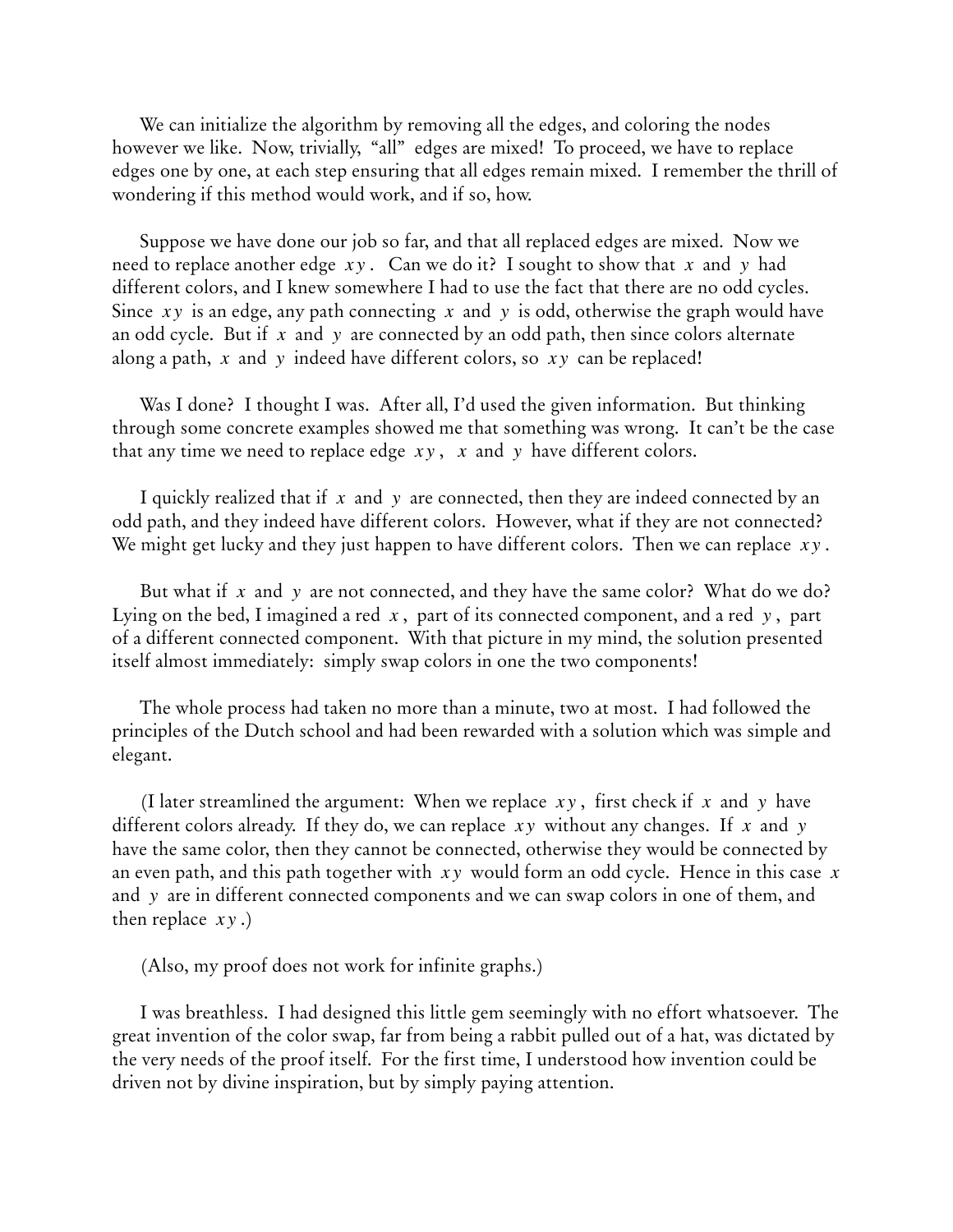We can initialize the algorithm by removing all the edges, and coloring the nodes however we like. Now, trivially, "all" edges are mixed! To proceed, we have to replace edges one by one, at each step ensuring that all edges remain mixed. I remember the thrill of wondering if this method would work, and if so, how.

 Suppose we have done our job so far, and that all replaced edges are mixed. Now we need to replace another edge  $xy$  . Can we do it? I sought to show that  $x$  and  $y$  had different colors, and I knew somewhere I had to use the fact that there are no odd cycles. Since  $xy$  is an edge, any path connecting  $x$  and  $y$  is odd, otherwise the graph would have an odd cycle. But if  $x$  and  $y$  are connected by an odd path, then since colors alternate along a path,  $x$  and  $y$  indeed have different colors, so  $xy$  can be replaced!

 Was I done? I thought I was. After all, I'd used the given information. But thinking through some concrete examples showed me that something was wrong. It can't be the case that any time we need to replace edge  $xy$  ,  $x$  and  $y$  have different colors.

I quickly realized that if  $x$  and  $y$  are connected, then they are indeed connected by an odd path, and they indeed have different colors. However, what if they are not connected? We might get lucky and they just happen to have different colors. Then we can replace  $\,x{\rm y}$  .

But what if  $x$  and  $y$  are not connected, and they have the same color? What do we do? Lying on the bed, I imagined a red  $\,x\,,\,$  part of its connected component, and a red  $\,y\,,\,$  part of a different connected component. With that picture in my mind, the solution presented itself almost immediately: simply swap colors in one the two components!

 The whole process had taken no more than a minute, two at most. I had followed the principles of the Dutch school and had been rewarded with a solution which was simple and elegant.

(I later streamlined the argument: When we replace  $xy$ , first check if  $x$  and  $y$  have different colors already. If they do, we can replace  $\,xy\,$  without any changes. If  $\,x\,$  and  $\,y\,$ have the same color, then they cannot be connected, otherwise they would be connected by an even path, and this path together with  $\,xy\,$  would form an odd cycle. Hence in this case  $\,x\,$ and y are in different connected components and we can swap colors in one of them, and then replace  $xy$ .)

(Also, my proof does not work for infinite graphs.)

 I was breathless. I had designed this little gem seemingly with no effort whatsoever. The great invention of the color swap, far from being a rabbit pulled out of a hat, was dictated by the very needs of the proof itself. For the first time, I understood how invention could be driven not by divine inspiration, but by simply paying attention.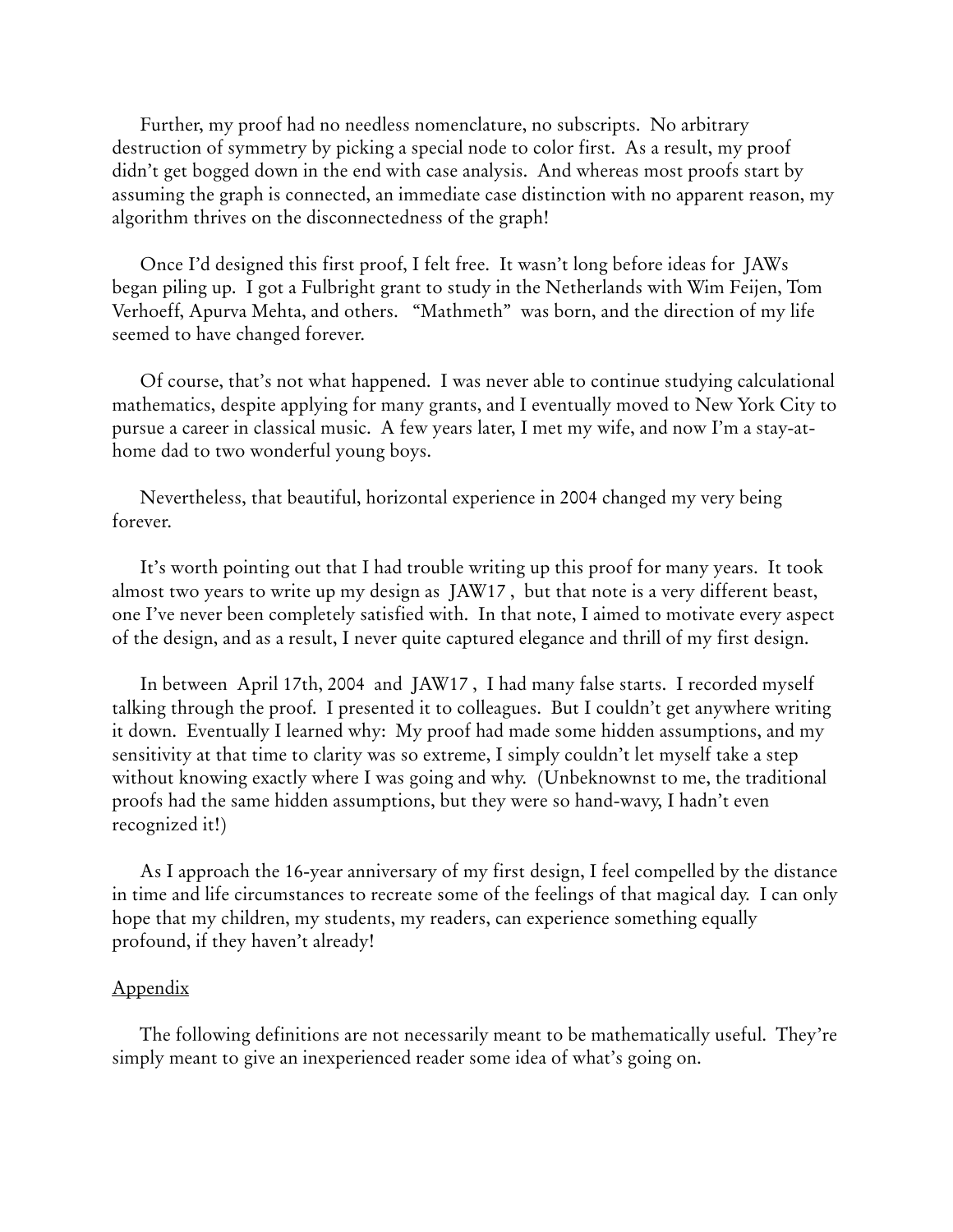Further, my proof had no needless nomenclature, no subscripts. No arbitrary destruction of symmetry by picking a special node to color first. As a result, my proof didn't get bogged down in the end with case analysis. And whereas most proofs start by assuming the graph is connected, an immediate case distinction with no apparent reason, my algorithm thrives on the disconnectedness of the graph!

 Once I'd designed this first proof, I felt free. It wasn't long before ideas for JAWs began piling up. I got a Fulbright grant to study in the Netherlands with Wim Feijen, Tom Verhoeff, Apurva Mehta, and others. "Mathmeth" was born, and the direction of my life seemed to have changed forever.

 Of course, that's not what happened. I was never able to continue studying calculational mathematics, despite applying for many grants, and I eventually moved to New York City to pursue a career in classical music. A few years later, I met my wife, and now I'm a stay-athome dad to two wonderful young boys.

 Nevertheless, that beautiful, horizontal experience in 2004 changed my very being forever.

 It's worth pointing out that I had trouble writing up this proof for many years. It took almost two years to write up my design as JAW17 , but that note is a very different beast, one I've never been completely satisfied with. In that note, I aimed to motivate every aspect of the design, and as a result, I never quite captured elegance and thrill of my first design.

 In between April 17th, 2004 and JAW17 , I had many false starts. I recorded myself talking through the proof. I presented it to colleagues. But I couldn't get anywhere writing it down. Eventually I learned why: My proof had made some hidden assumptions, and my sensitivity at that time to clarity was so extreme, I simply couldn't let myself take a step without knowing exactly where I was going and why. (Unbeknownst to me, the traditional proofs had the same hidden assumptions, but they were so hand-wavy, I hadn't even recognized it!)

 As I approach the 16-year anniversary of my first design, I feel compelled by the distance in time and life circumstances to recreate some of the feelings of that magical day. I can only hope that my children, my students, my readers, can experience something equally profound, if they haven't already!

## Appendix

 The following definitions are not necessarily meant to be mathematically useful. They're simply meant to give an inexperienced reader some idea of what's going on.